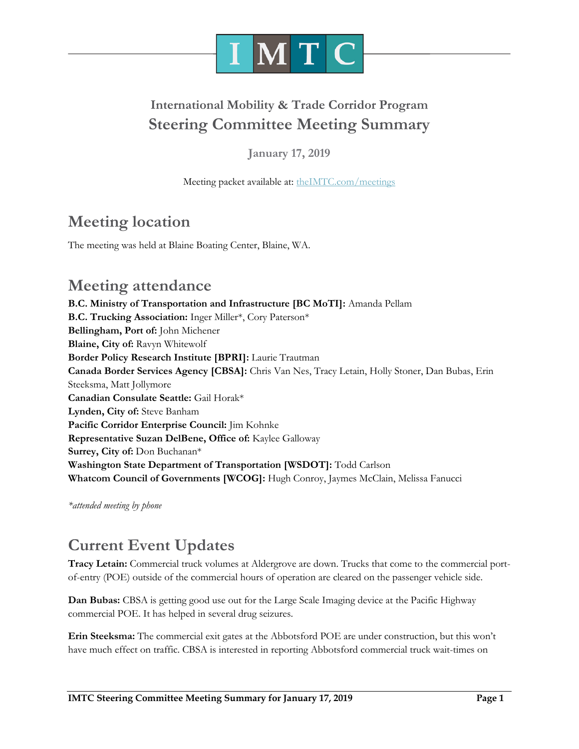

# **International Mobility & Trade Corridor Program Steering Committee Meeting Summary**

**January 17, 2019**

Meeting packet available at: [theIMTC.com/meetings](http://theimtc.com/meetings)

# **Meeting location**

The meeting was held at Blaine Boating Center, Blaine, WA.

## **Meeting attendance**

**B.C. Ministry of Transportation and Infrastructure [BC MoTI]:** Amanda Pellam **B.C. Trucking Association:** Inger Miller\*, Cory Paterson\* **Bellingham, Port of:** John Michener **Blaine, City of:** Ravyn Whitewolf **Border Policy Research Institute [BPRI]:** Laurie Trautman **Canada Border Services Agency [CBSA]:** Chris Van Nes, Tracy Letain, Holly Stoner, Dan Bubas, Erin Steeksma, Matt Jollymore **Canadian Consulate Seattle:** Gail Horak\* **Lynden, City of:** Steve Banham **Pacific Corridor Enterprise Council:** Jim Kohnke **Representative Suzan DelBene, Office of:** Kaylee Galloway **Surrey, City of:** Don Buchanan\* **Washington State Department of Transportation [WSDOT]:** Todd Carlson **Whatcom Council of Governments [WCOG]:** Hugh Conroy, Jaymes McClain, Melissa Fanucci

*\*attended meeting by phone*

# **Current Event Updates**

**Tracy Letain:** Commercial truck volumes at Aldergrove are down. Trucks that come to the commercial portof-entry (POE) outside of the commercial hours of operation are cleared on the passenger vehicle side.

**Dan Bubas:** CBSA is getting good use out for the Large Scale Imaging device at the Pacific Highway commercial POE. It has helped in several drug seizures.

**Erin Steeksma:** The commercial exit gates at the Abbotsford POE are under construction, but this won't have much effect on traffic. CBSA is interested in reporting Abbotsford commercial truck wait-times on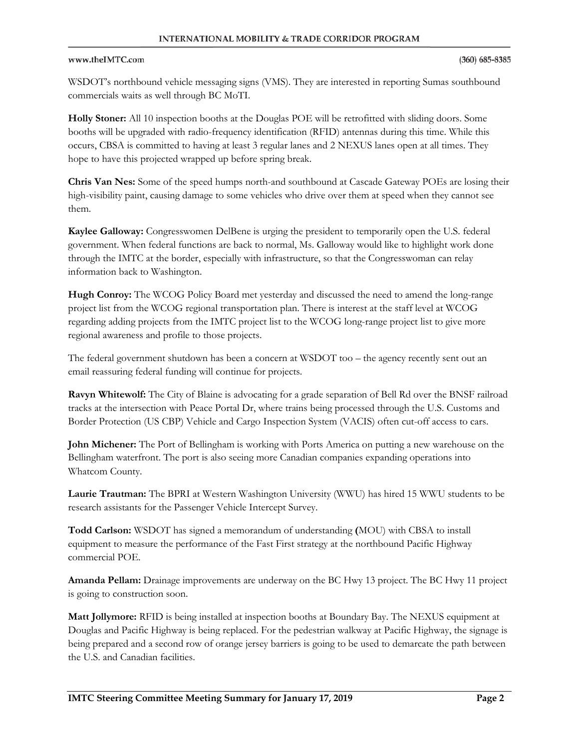### www.theIMTC.com

WSDOT's northbound vehicle messaging signs (VMS). They are interested in reporting Sumas southbound commercials waits as well through BC MoTI.

**Holly Stoner:** All 10 inspection booths at the Douglas POE will be retrofitted with sliding doors. Some booths will be upgraded with radio-frequency identification (RFID) antennas during this time. While this occurs, CBSA is committed to having at least 3 regular lanes and 2 NEXUS lanes open at all times. They hope to have this projected wrapped up before spring break.

**Chris Van Nes:** Some of the speed humps north-and southbound at Cascade Gateway POEs are losing their high-visibility paint, causing damage to some vehicles who drive over them at speed when they cannot see them.

**Kaylee Galloway:** Congresswomen DelBene is urging the president to temporarily open the U.S. federal government. When federal functions are back to normal, Ms. Galloway would like to highlight work done through the IMTC at the border, especially with infrastructure, so that the Congresswoman can relay information back to Washington.

**Hugh Conroy:** The WCOG Policy Board met yesterday and discussed the need to amend the long-range project list from the WCOG regional transportation plan. There is interest at the staff level at WCOG regarding adding projects from the IMTC project list to the WCOG long-range project list to give more regional awareness and profile to those projects.

The federal government shutdown has been a concern at WSDOT too – the agency recently sent out an email reassuring federal funding will continue for projects.

**Ravyn Whitewolf:** The City of Blaine is advocating for a grade separation of Bell Rd over the BNSF railroad tracks at the intersection with Peace Portal Dr, where trains being processed through the U.S. Customs and Border Protection (US CBP) Vehicle and Cargo Inspection System (VACIS) often cut-off access to cars.

**John Michener:** The Port of Bellingham is working with Ports America on putting a new warehouse on the Bellingham waterfront. The port is also seeing more Canadian companies expanding operations into Whatcom County.

**Laurie Trautman:** The BPRI at Western Washington University (WWU) has hired 15 WWU students to be research assistants for the Passenger Vehicle Intercept Survey.

**Todd Carlson:** WSDOT has signed a memorandum of understanding **(**MOU) with CBSA to install equipment to measure the performance of the Fast First strategy at the northbound Pacific Highway commercial POE.

**Amanda Pellam:** Drainage improvements are underway on the BC Hwy 13 project. The BC Hwy 11 project is going to construction soon.

**Matt Jollymore:** RFID is being installed at inspection booths at Boundary Bay. The NEXUS equipment at Douglas and Pacific Highway is being replaced. For the pedestrian walkway at Pacific Highway, the signage is being prepared and a second row of orange jersey barriers is going to be used to demarcate the path between the U.S. and Canadian facilities.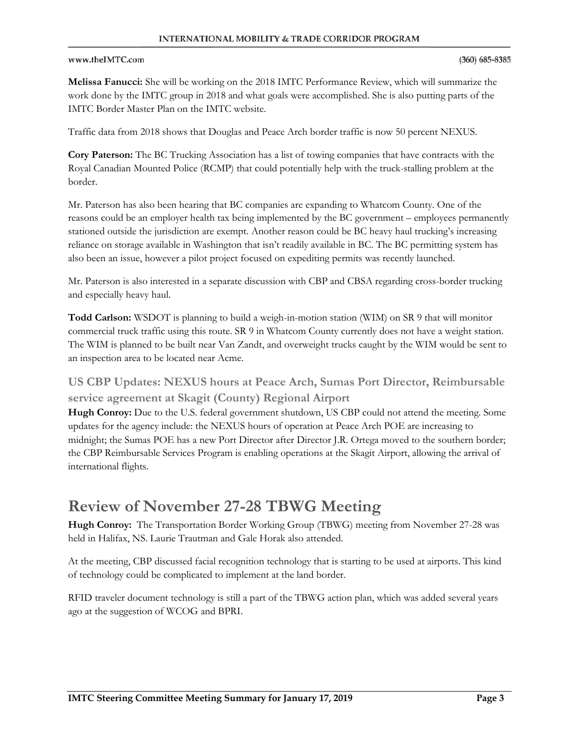### www.theIMTC.com

**Melissa Fanucci:** She will be working on the 2018 IMTC Performance Review, which will summarize the work done by the IMTC group in 2018 and what goals were accomplished. She is also putting parts of the IMTC Border Master Plan on the IMTC website.

Traffic data from 2018 shows that Douglas and Peace Arch border traffic is now 50 percent NEXUS.

**Cory Paterson:** The BC Trucking Association has a list of towing companies that have contracts with the Royal Canadian Mounted Police (RCMP) that could potentially help with the truck-stalling problem at the border.

Mr. Paterson has also been hearing that BC companies are expanding to Whatcom County. One of the reasons could be an employer health tax being implemented by the BC government – employees permanently stationed outside the jurisdiction are exempt. Another reason could be BC heavy haul trucking's increasing reliance on storage available in Washington that isn't readily available in BC. The BC permitting system has also been an issue, however a pilot project focused on expediting permits was recently launched.

Mr. Paterson is also interested in a separate discussion with CBP and CBSA regarding cross-border trucking and especially heavy haul.

**Todd Carlson:** WSDOT is planning to build a weigh-in-motion station (WIM) on SR 9 that will monitor commercial truck traffic using this route. SR 9 in Whatcom County currently does not have a weight station. The WIM is planned to be built near Van Zandt, and overweight trucks caught by the WIM would be sent to an inspection area to be located near Acme.

**US CBP Updates: NEXUS hours at Peace Arch, Sumas Port Director, Reimbursable service agreement at Skagit (County) Regional Airport**

**Hugh Conroy:** Due to the U.S. federal government shutdown, US CBP could not attend the meeting. Some updates for the agency include: the NEXUS hours of operation at Peace Arch POE are increasing to midnight; the Sumas POE has a new Port Director after Director J.R. Ortega moved to the southern border; the CBP Reimbursable Services Program is enabling operations at the Skagit Airport, allowing the arrival of international flights.

## **Review of November 27-28 TBWG Meeting**

**Hugh Conroy:** The Transportation Border Working Group (TBWG) meeting from November 27-28 was held in Halifax, NS. Laurie Trautman and Gale Horak also attended.

At the meeting, CBP discussed facial recognition technology that is starting to be used at airports. This kind of technology could be complicated to implement at the land border.

RFID traveler document technology is still a part of the TBWG action plan, which was added several years ago at the suggestion of WCOG and BPRI.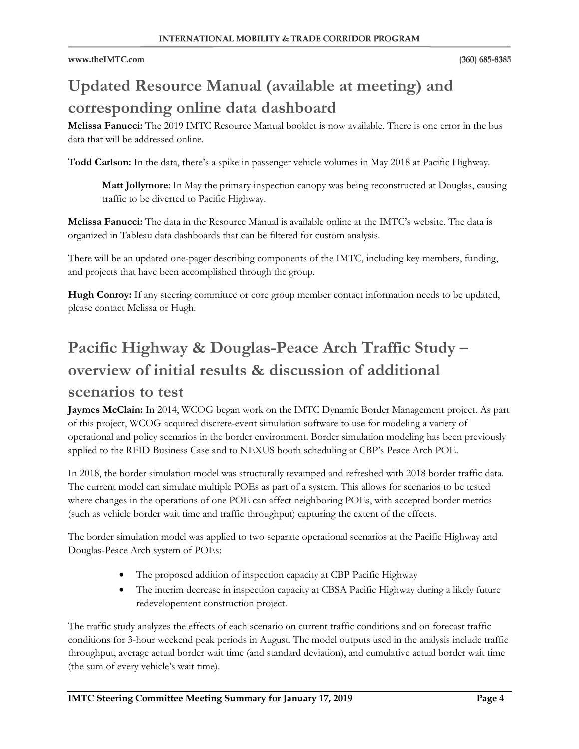# **Updated Resource Manual (available at meeting) and corresponding online data dashboard**

**Melissa Fanucci:** The 2019 IMTC Resource Manual booklet is now available. There is one error in the bus data that will be addressed online.

**Todd Carlson:** In the data, there's a spike in passenger vehicle volumes in May 2018 at Pacific Highway.

**Matt Jollymore**: In May the primary inspection canopy was being reconstructed at Douglas, causing traffic to be diverted to Pacific Highway.

**Melissa Fanucci:** The data in the Resource Manual is available online at the IMTC's website. The data is organized in Tableau data dashboards that can be filtered for custom analysis.

There will be an updated one-pager describing components of the IMTC, including key members, funding, and projects that have been accomplished through the group.

**Hugh Conroy:** If any steering committee or core group member contact information needs to be updated, please contact Melissa or Hugh.

# **Pacific Highway & Douglas-Peace Arch Traffic Study – overview of initial results & discussion of additional**

### **scenarios to test**

**Jaymes McClain:** In 2014, WCOG began work on the IMTC Dynamic Border Management project. As part of this project, WCOG acquired discrete-event simulation software to use for modeling a variety of operational and policy scenarios in the border environment. Border simulation modeling has been previously applied to the RFID Business Case and to NEXUS booth scheduling at CBP's Peace Arch POE.

In 2018, the border simulation model was structurally revamped and refreshed with 2018 border traffic data. The current model can simulate multiple POEs as part of a system. This allows for scenarios to be tested where changes in the operations of one POE can affect neighboring POEs, with accepted border metrics (such as vehicle border wait time and traffic throughput) capturing the extent of the effects.

The border simulation model was applied to two separate operational scenarios at the Pacific Highway and Douglas-Peace Arch system of POEs:

- The proposed addition of inspection capacity at CBP Pacific Highway
- The interim decrease in inspection capacity at CBSA Pacific Highway during a likely future redevelopement construction project.

The traffic study analyzes the effects of each scenario on current traffic conditions and on forecast traffic conditions for 3-hour weekend peak periods in August. The model outputs used in the analysis include traffic throughput, average actual border wait time (and standard deviation), and cumulative actual border wait time (the sum of every vehicle's wait time).